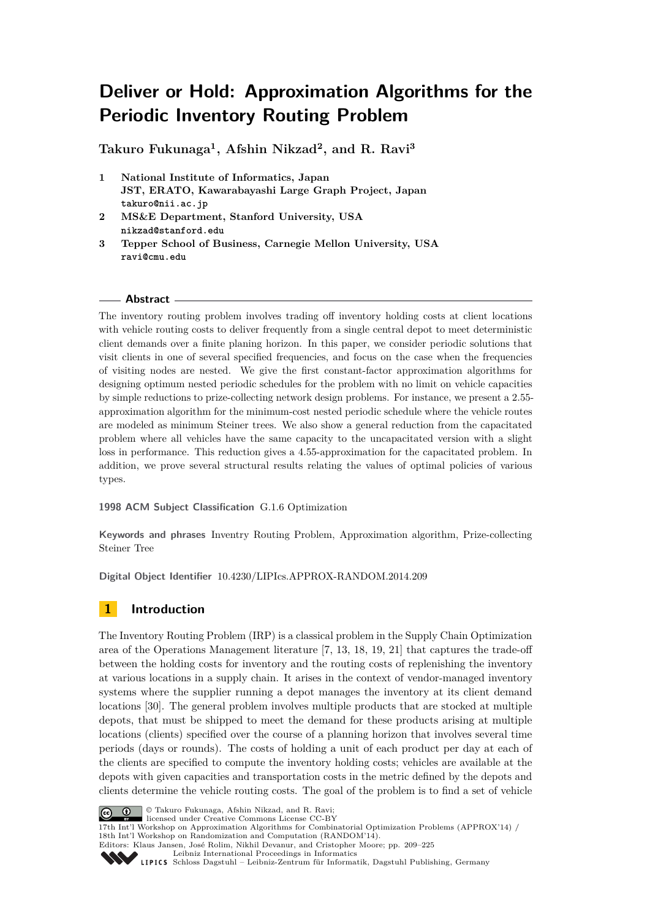# **Deliver or Hold: Approximation Algorithms for the Periodic Inventory Routing Problem**

**Takuro Fukunaga<sup>1</sup> , Afshin Nikzad<sup>2</sup> , and R. Ravi<sup>3</sup>**

- **1 National Institute of Informatics, Japan JST, ERATO, Kawarabayashi Large Graph Project, Japan takuro@nii.ac.jp**
- **2 MS&E Department, Stanford University, USA nikzad@stanford.edu**
- **3 Tepper School of Business, Carnegie Mellon University, USA ravi@cmu.edu**

### **Abstract**

The inventory routing problem involves trading off inventory holding costs at client locations with vehicle routing costs to deliver frequently from a single central depot to meet deterministic client demands over a finite planing horizon. In this paper, we consider periodic solutions that visit clients in one of several specified frequencies, and focus on the case when the frequencies of visiting nodes are nested. We give the first constant-factor approximation algorithms for designing optimum nested periodic schedules for the problem with no limit on vehicle capacities by simple reductions to prize-collecting network design problems. For instance, we present a 2*.*55 approximation algorithm for the minimum-cost nested periodic schedule where the vehicle routes are modeled as minimum Steiner trees. We also show a general reduction from the capacitated problem where all vehicles have the same capacity to the uncapacitated version with a slight loss in performance. This reduction gives a 4*.*55-approximation for the capacitated problem. In addition, we prove several structural results relating the values of optimal policies of various types.

**1998 ACM Subject Classification** G.1.6 Optimization

**Keywords and phrases** Inventry Routing Problem, Approximation algorithm, Prize-collecting Steiner Tree

**Digital Object Identifier** [10.4230/LIPIcs.APPROX-RANDOM.2014.209](http://dx.doi.org/10.4230/LIPIcs.APPROX-RANDOM.2014.209)

# **1 Introduction**

The Inventory Routing Problem (IRP) is a classical problem in the Supply Chain Optimization area of the Operations Management literature [\[7,](#page-15-0) [13,](#page-15-1) [18,](#page-15-2) [19,](#page-15-3) [21\]](#page-15-4) that captures the trade-off between the holding costs for inventory and the routing costs of replenishing the inventory at various locations in a supply chain. It arises in the context of vendor-managed inventory systems where the supplier running a depot manages the inventory at its client demand locations [\[30\]](#page-16-0). The general problem involves multiple products that are stocked at multiple depots, that must be shipped to meet the demand for these products arising at multiple locations (clients) specified over the course of a planning horizon that involves several time periods (days or rounds). The costs of holding a unit of each product per day at each of the clients are specified to compute the inventory holding costs; vehicles are available at the depots with given capacities and transportation costs in the metric defined by the depots and clients determine the vehicle routing costs. The goal of the problem is to find a set of vehicle



© Takuro Fukunaga, Afshin Nikzad, and R. Ravi; licensed under Creative Commons License CC-BY

17th Int'l Workshop on Approximation Algorithms for Combinatorial Optimization Problems (APPROX'14) / 18th Int'l Workshop on Randomization and Computation (RANDOM'14). Editors: Klaus Jansen, José Rolim, Nikhil Devanur, and Cristopher Moore; pp. 209[–225](#page-16-1)



[Leibniz International Proceedings in Informatics](http://www.dagstuhl.de/lipics/)

[Schloss Dagstuhl – Leibniz-Zentrum für Informatik, Dagstuhl Publishing, Germany](http://www.dagstuhl.de)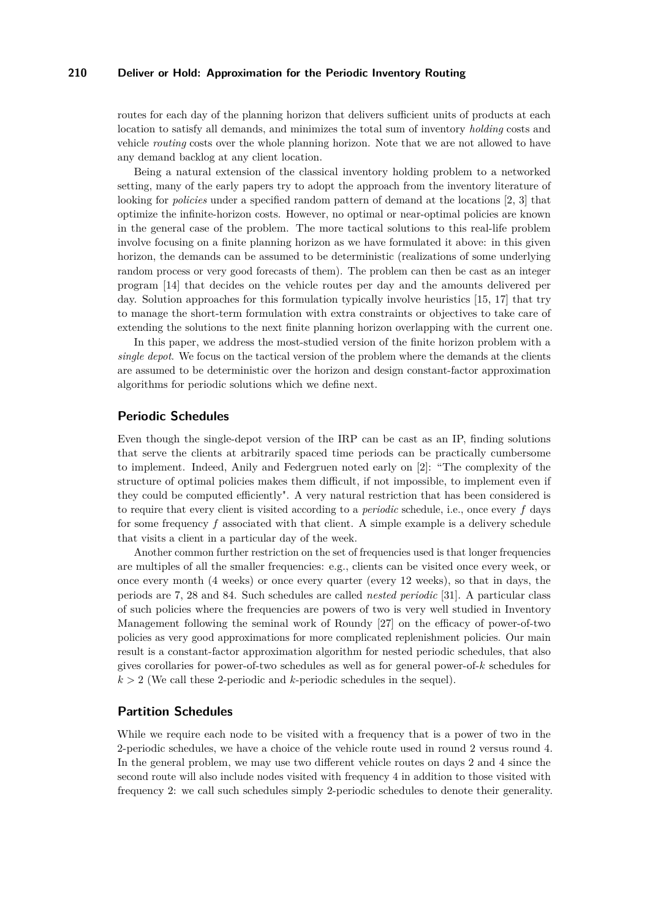routes for each day of the planning horizon that delivers sufficient units of products at each location to satisfy all demands, and minimizes the total sum of inventory *holding* costs and vehicle *routing* costs over the whole planning horizon. Note that we are not allowed to have any demand backlog at any client location.

Being a natural extension of the classical inventory holding problem to a networked setting, many of the early papers try to adopt the approach from the inventory literature of looking for *policies* under a specified random pattern of demand at the locations [\[2,](#page-14-0) [3\]](#page-14-1) that optimize the infinite-horizon costs. However, no optimal or near-optimal policies are known in the general case of the problem. The more tactical solutions to this real-life problem involve focusing on a finite planning horizon as we have formulated it above: in this given horizon, the demands can be assumed to be deterministic (realizations of some underlying random process or very good forecasts of them). The problem can then be cast as an integer program [\[14\]](#page-15-5) that decides on the vehicle routes per day and the amounts delivered per day. Solution approaches for this formulation typically involve heuristics [\[15,](#page-15-6) [17\]](#page-15-7) that try to manage the short-term formulation with extra constraints or objectives to take care of extending the solutions to the next finite planning horizon overlapping with the current one.

In this paper, we address the most-studied version of the finite horizon problem with a *single depot*. We focus on the tactical version of the problem where the demands at the clients are assumed to be deterministic over the horizon and design constant-factor approximation algorithms for periodic solutions which we define next.

#### **Periodic Schedules**

Even though the single-depot version of the IRP can be cast as an IP, finding solutions that serve the clients at arbitrarily spaced time periods can be practically cumbersome to implement. Indeed, Anily and Federgruen noted early on [\[2\]](#page-14-0): "The complexity of the structure of optimal policies makes them difficult, if not impossible, to implement even if they could be computed efficiently". A very natural restriction that has been considered is to require that every client is visited according to a *periodic* schedule, i.e., once every *f* days for some frequency *f* associated with that client. A simple example is a delivery schedule that visits a client in a particular day of the week.

Another common further restriction on the set of frequencies used is that longer frequencies are multiples of all the smaller frequencies: e.g., clients can be visited once every week, or once every month (4 weeks) or once every quarter (every 12 weeks), so that in days, the periods are 7, 28 and 84. Such schedules are called *nested periodic* [\[31\]](#page-16-2). A particular class of such policies where the frequencies are powers of two is very well studied in Inventory Management following the seminal work of Roundy [\[27\]](#page-15-8) on the efficacy of power-of-two policies as very good approximations for more complicated replenishment policies. Our main result is a constant-factor approximation algorithm for nested periodic schedules, that also gives corollaries for power-of-two schedules as well as for general power-of-*k* schedules for  $k > 2$  (We call these 2-periodic and *k*-periodic schedules in the sequel).

# **Partition Schedules**

While we require each node to be visited with a frequency that is a power of two in the 2-periodic schedules, we have a choice of the vehicle route used in round 2 versus round 4. In the general problem, we may use two different vehicle routes on days 2 and 4 since the second route will also include nodes visited with frequency 4 in addition to those visited with frequency 2: we call such schedules simply 2-periodic schedules to denote their generality.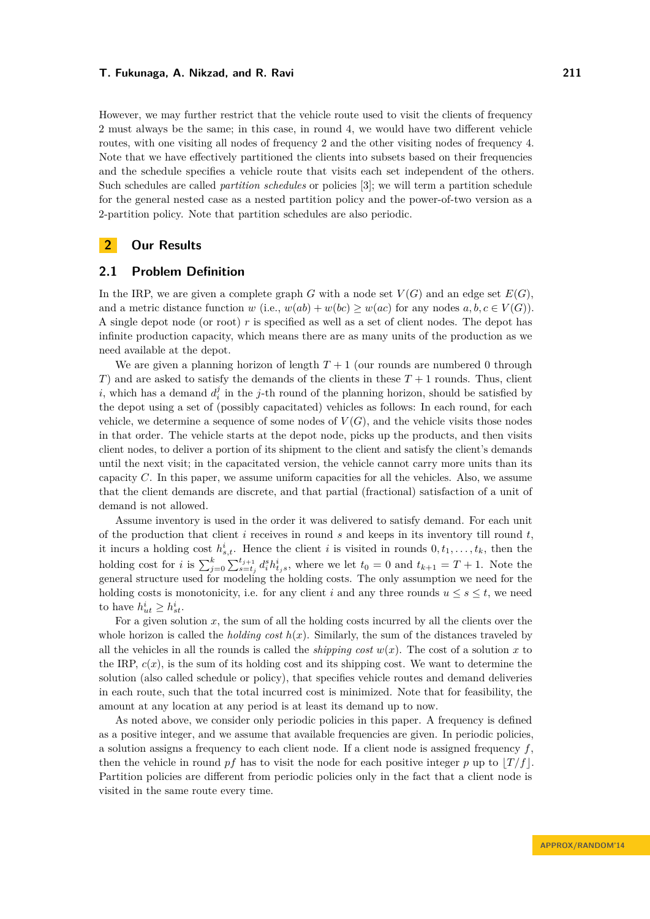However, we may further restrict that the vehicle route used to visit the clients of frequency 2 must always be the same; in this case, in round 4, we would have two different vehicle routes, with one visiting all nodes of frequency 2 and the other visiting nodes of frequency 4. Note that we have effectively partitioned the clients into subsets based on their frequencies and the schedule specifies a vehicle route that visits each set independent of the others. Such schedules are called *partition schedules* or policies [\[3\]](#page-14-1); we will term a partition schedule for the general nested case as a nested partition policy and the power-of-two version as a 2-partition policy. Note that partition schedules are also periodic.

# **2 Our Results**

### **2.1 Problem Definition**

In the IRP, we are given a complete graph *G* with a node set  $V(G)$  and an edge set  $E(G)$ . and a metric distance function *w* (i.e.,  $w(ab) + w(bc) \geq w(ac)$  for any nodes  $a, b, c \in V(G)$ ). A single depot node (or root) *r* is specified as well as a set of client nodes. The depot has infinite production capacity, which means there are as many units of the production as we need available at the depot.

We are given a planning horizon of length  $T+1$  (our rounds are numbered 0 through *T*) and are asked to satisfy the demands of the clients in these  $T + 1$  rounds. Thus, client *i*, which has a demand  $d_i^j$  in the *j*-th round of the planning horizon, should be satisfied by the depot using a set of (possibly capacitated) vehicles as follows: In each round, for each vehicle, we determine a sequence of some nodes of  $V(G)$ , and the vehicle visits those nodes in that order. The vehicle starts at the depot node, picks up the products, and then visits client nodes, to deliver a portion of its shipment to the client and satisfy the client's demands until the next visit; in the capacitated version, the vehicle cannot carry more units than its capacity *C*. In this paper, we assume uniform capacities for all the vehicles. Also, we assume that the client demands are discrete, and that partial (fractional) satisfaction of a unit of demand is not allowed.

Assume inventory is used in the order it was delivered to satisfy demand. For each unit of the production that client *i* receives in round *s* and keeps in its inventory till round *t*, it incurs a holding cost  $h_{s,t}^i$ . Hence the client *i* is visited in rounds  $0, t_1, \ldots, t_k$ , then the holding cost for *i* is  $\sum_{j=0}^{k} \sum_{s=t_j}^{t_{j+1}} d_i^s h_{t_js}^i$ , where we let  $t_0 = 0$  and  $t_{k+1} = T + 1$ . Note the general structure used for modeling the holding costs. The only assumption we need for the holding costs is monotonicity, i.e. for any client *i* and any three rounds  $u \leq s \leq t$ , we need to have  $h_{ut}^i \geq h_{st}^i$ .

For a given solution *x*, the sum of all the holding costs incurred by all the clients over the whole horizon is called the *holding cost*  $h(x)$ . Similarly, the sum of the distances traveled by all the vehicles in all the rounds is called the *shipping cost*  $w(x)$ . The cost of a solution *x* to the IRP,  $c(x)$ , is the sum of its holding cost and its shipping cost. We want to determine the solution (also called schedule or policy), that specifies vehicle routes and demand deliveries in each route, such that the total incurred cost is minimized. Note that for feasibility, the amount at any location at any period is at least its demand up to now.

As noted above, we consider only periodic policies in this paper. A frequency is defined as a positive integer, and we assume that available frequencies are given. In periodic policies, a solution assigns a frequency to each client node. If a client node is assigned frequency *f*, then the vehicle in round *pf* has to visit the node for each positive integer *p* up to  $|T/f|$ . Partition policies are different from periodic policies only in the fact that a client node is visited in the same route every time.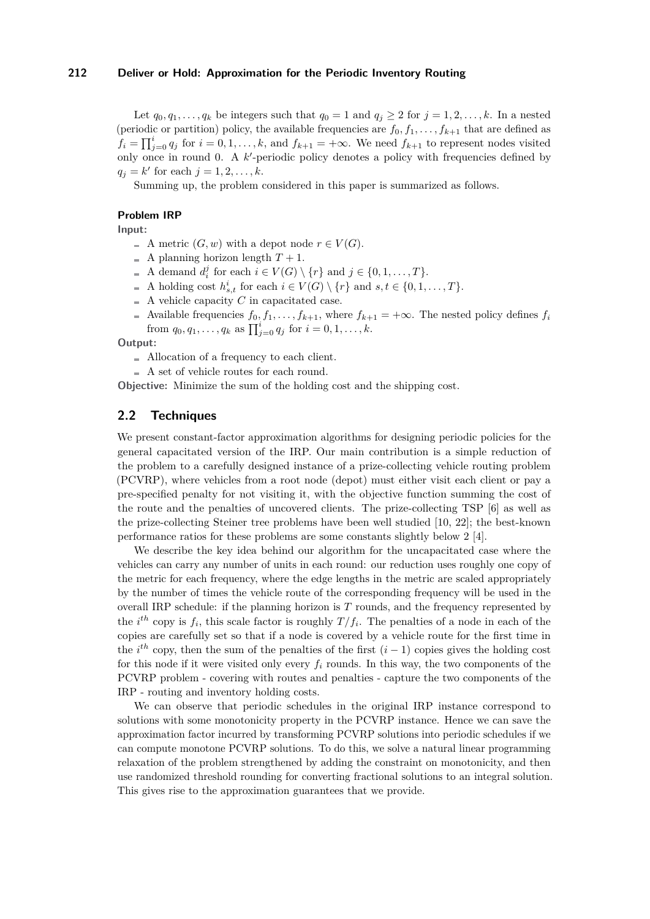Let  $q_0, q_1, \ldots, q_k$  be integers such that  $q_0 = 1$  and  $q_i \geq 2$  for  $j = 1, 2, \ldots, k$ . In a nested (periodic or partition) policy, the available frequencies are  $f_0, f_1, \ldots, f_{k+1}$  that are defined as  $f_i = \prod_{j=0}^{i} q_j$  for  $i = 0, 1, \ldots, k$ , and  $f_{k+1} = +\infty$ . We need  $f_{k+1}$  to represent nodes visited only once in round 0. A k'-periodic policy denotes a policy with frequencies defined by  $q_j = k'$  for each  $j = 1, 2, ..., k$ .

Summing up, the problem considered in this paper is summarized as follows.

### **Problem IRP**

**Input:**

- A metric  $(G, w)$  with a depot node  $r \in V(G)$ .
- $\blacksquare$  A planning horizon length  $T+1$ .
- A demand  $d_i^j$  for each  $i \in V(G) \setminus \{r\}$  and  $j \in \{0, 1, \ldots, T\}$ .
- A holding cost  $h_{s,t}^i$  for each  $i \in V(G) \setminus \{r\}$  and  $s, t \in \{0, 1, ..., T\}$ .
- $\blacksquare$  A vehicle capacity *C* in capacitated case.
- L. Available frequencies  $f_0, f_1, \ldots, f_{k+1}$ , where  $f_{k+1} = +\infty$ . The nested policy defines  $f_i$ from  $q_0, q_1, \ldots, q_k$  as  $\prod_{j=0}^i q_j$  for  $i = 0, 1, \ldots, k$ .

**Output:**

- Allocation of a frequency to each client.
- A set of vehicle routes for each round.

**Objective:** Minimize the sum of the holding cost and the shipping cost.

### **2.2 Techniques**

We present constant-factor approximation algorithms for designing periodic policies for the general capacitated version of the IRP. Our main contribution is a simple reduction of the problem to a carefully designed instance of a prize-collecting vehicle routing problem (PCVRP), where vehicles from a root node (depot) must either visit each client or pay a pre-specified penalty for not visiting it, with the objective function summing the cost of the route and the penalties of uncovered clients. The prize-collecting TSP [\[6\]](#page-15-9) as well as the prize-collecting Steiner tree problems have been well studied [\[10,](#page-15-10) [22\]](#page-15-11); the best-known performance ratios for these problems are some constants slightly below 2 [\[4\]](#page-14-2).

We describe the key idea behind our algorithm for the uncapacitated case where the vehicles can carry any number of units in each round: our reduction uses roughly one copy of the metric for each frequency, where the edge lengths in the metric are scaled appropriately by the number of times the vehicle route of the corresponding frequency will be used in the overall IRP schedule: if the planning horizon is *T* rounds, and the frequency represented by the  $i^{th}$  copy is  $f_i$ , this scale factor is roughly  $T/f_i$ . The penalties of a node in each of the copies are carefully set so that if a node is covered by a vehicle route for the first time in the  $i^{th}$  copy, then the sum of the penalties of the first  $(i-1)$  copies gives the holding cost for this node if it were visited only every  $f_i$  rounds. In this way, the two components of the PCVRP problem - covering with routes and penalties - capture the two components of the IRP - routing and inventory holding costs.

We can observe that periodic schedules in the original IRP instance correspond to solutions with some monotonicity property in the PCVRP instance. Hence we can save the approximation factor incurred by transforming PCVRP solutions into periodic schedules if we can compute monotone PCVRP solutions. To do this, we solve a natural linear programming relaxation of the problem strengthened by adding the constraint on monotonicity, and then use randomized threshold rounding for converting fractional solutions to an integral solution. This gives rise to the approximation guarantees that we provide.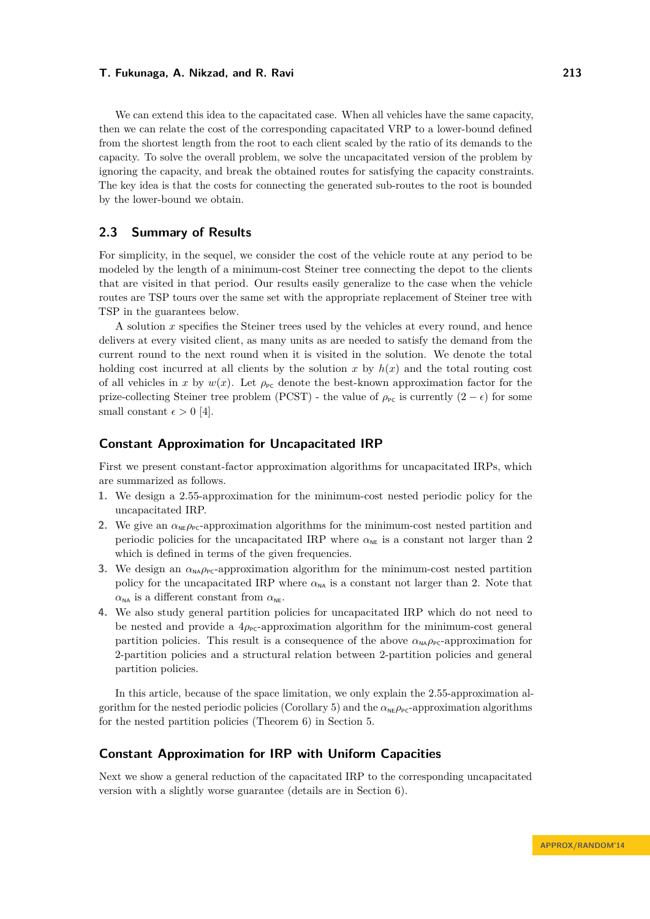We can extend this idea to the capacitated case. When all vehicles have the same capacity, then we can relate the cost of the corresponding capacitated VRP to a lower-bound defined from the shortest length from the root to each client scaled by the ratio of its demands to the capacity. To solve the overall problem, we solve the uncapacitated version of the problem by ignoring the capacity, and break the obtained routes for satisfying the capacity constraints. The key idea is that the costs for connecting the generated sub-routes to the root is bounded by the lower-bound we obtain.

# **2.3 Summary of Results**

For simplicity, in the sequel, we consider the cost of the vehicle route at any period to be modeled by the length of a minimum-cost Steiner tree connecting the depot to the clients that are visited in that period. Our results easily generalize to the case when the vehicle routes are TSP tours over the same set with the appropriate replacement of Steiner tree with TSP in the guarantees below.

A solution *x* specifies the Steiner trees used by the vehicles at every round, and hence delivers at every visited client, as many units as are needed to satisfy the demand from the current round to the next round when it is visited in the solution. We denote the total holding cost incurred at all clients by the solution  $x$  by  $h(x)$  and the total routing cost of all vehicles in *x* by  $w(x)$ . Let  $\rho_{\text{PC}}$  denote the best-known approximation factor for the prize-collecting Steiner tree problem (PCST) - the value of  $\rho_{\text{PC}}$  is currently  $(2 - \epsilon)$  for some small constant  $\epsilon > 0$  [\[4\]](#page-14-2).

### **Constant Approximation for Uncapacitated IRP**

First we present constant-factor approximation algorithms for uncapacitated IRPs, which are summarized as follows.

- **1.** We design a 2*.*55-approximation for the minimum-cost nested periodic policy for the uncapacitated IRP.
- **2.** We give an  $\alpha_{\text{NE}}\rho_{\text{PC}}$ -approximation algorithms for the minimum-cost nested partition and periodic policies for the uncapacitated IRP where  $\alpha_\texttt{NE}$  is a constant not larger than  $2$ which is defined in terms of the given frequencies.
- **3.** We design an  $\alpha_{\text{NA}}\rho_{\text{PC}}$ -approximation algorithm for the minimum-cost nested partition policy for the uncapacitated IRP where  $\alpha_{NA}$  is a constant not larger than 2. Note that  $\alpha_{\text{NA}}$  is a different constant from  $\alpha_{\text{NE}}$ .
- **4.** We also study general partition policies for uncapacitated IRP which do not need to be nested and provide a  $4\rho_{\text{PC}}$ -approximation algorithm for the minimum-cost general partition policies. This result is a consequence of the above  $\alpha_{\text{NA}}\rho_{\text{PC}}$ -approximation for 2-partition policies and a structural relation between 2-partition policies and general partition policies.

In this article, because of the space limitation, we only explain the 2.55-approximation al-gorithm for the nested periodic policies (Corollary [5\)](#page-10-0) and the  $\alpha_{\text{NE}}\rho_{\text{PC}}$ -approximation algorithms for the nested partition policies (Theorem [6\)](#page-11-0) in Section [5.](#page-9-0)

### **Constant Approximation for IRP with Uniform Capacities**

Next we show a general reduction of the capacitated IRP to the corresponding uncapacitated version with a slightly worse guarantee (details are in Section [6\)](#page-12-0).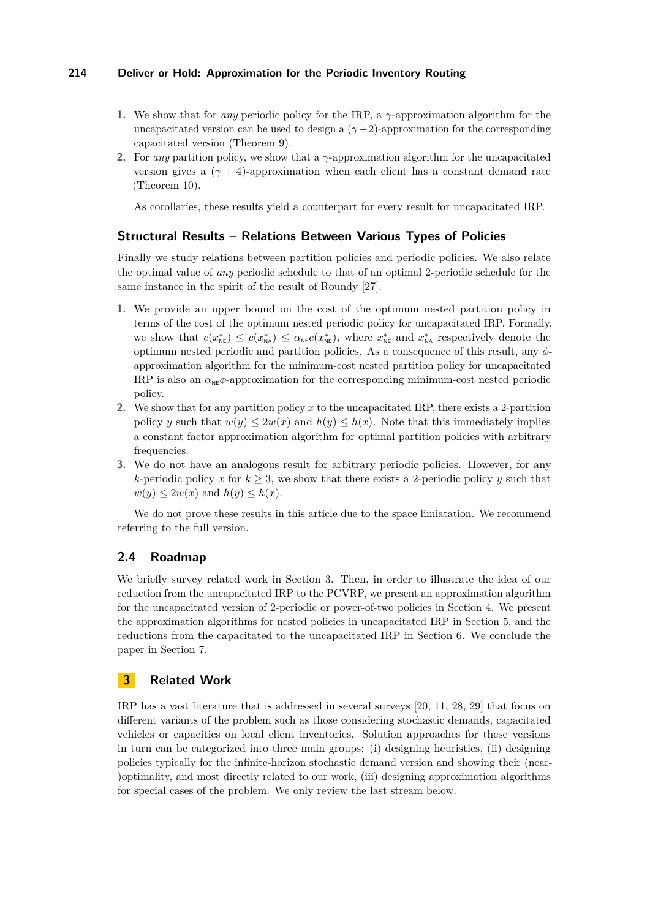- **1.** We show that for *any* periodic policy for the IRP, a *γ*-approximation algorithm for the uncapacitated version can be used to design a  $(\gamma + 2)$ -approximation for the corresponding capacitated version (Theorem [9\)](#page-12-1).
- **2.** For *any* partition policy, we show that a *γ*-approximation algorithm for the uncapacitated version gives a  $(\gamma + 4)$ -approximation when each client has a constant demand rate (Theorem [10\)](#page-13-0).

As corollaries, these results yield a counterpart for every result for uncapacitated IRP.

# **Structural Results – Relations Between Various Types of Policies**

Finally we study relations between partition policies and periodic policies. We also relate the optimal value of *any* periodic schedule to that of an optimal 2-periodic schedule for the same instance in the spirit of the result of Roundy [\[27\]](#page-15-8).

- **1.** We provide an upper bound on the cost of the optimum nested partition policy in terms of the cost of the optimum nested periodic policy for uncapacitated IRP. Formally, we show that  $c(x_{\text{NE}}^*) \leq c(x_{\text{NA}}^*) \leq \alpha_{\text{NE}}c(x_{\text{NE}}^*)$ , where  $x_{\text{NE}}^*$  and  $x_{\text{NA}}^*$  respectively denote the optimum nested periodic and partition policies. As a consequence of this result, any *φ*approximation algorithm for the minimum-cost nested partition policy for uncapacitated IRP is also an  $\alpha_{\text{NE}}\phi$ -approximation for the corresponding minimum-cost nested periodic policy.
- **2.** We show that for any partition policy *x* to the uncapacitated IRP, there exists a 2-partition policy *y* such that  $w(y) \leq 2w(x)$  and  $h(y) \leq h(x)$ . Note that this immediately implies a constant factor approximation algorithm for optimal partition policies with arbitrary frequencies.
- **3.** We do not have an analogous result for arbitrary periodic policies. However, for any *k*-periodic policy *x* for  $k > 3$ , we show that there exists a 2-periodic policy *y* such that  $w(y) \leq 2w(x)$  and  $h(y) \leq h(x)$ .

We do not prove these results in this article due to the space limiatation. We recommend referring to the full version.

# **2.4 Roadmap**

We briefly survey related work in Section [3.](#page-5-0) Then, in order to illustrate the idea of our reduction from the uncapacitated IRP to the PCVRP, we present an approximation algorithm for the uncapacitated version of 2-periodic or power-of-two policies in Section [4.](#page-6-0) We present the approximation algorithms for nested policies in uncapacitated IRP in Section [5,](#page-9-0) and the reductions from the capacitated to the uncapacitated IRP in Section [6.](#page-12-0) We conclude the paper in Section [7.](#page-14-3)

# <span id="page-5-0"></span>**3 Related Work**

IRP has a vast literature that is addressed in several surveys [\[20,](#page-15-12) [11,](#page-15-13) [28,](#page-15-14) [29\]](#page-16-3) that focus on different variants of the problem such as those considering stochastic demands, capacitated vehicles or capacities on local client inventories. Solution approaches for these versions in turn can be categorized into three main groups: (i) designing heuristics, (ii) designing policies typically for the infinite-horizon stochastic demand version and showing their (near- )optimality, and most directly related to our work, (iii) designing approximation algorithms for special cases of the problem. We only review the last stream below.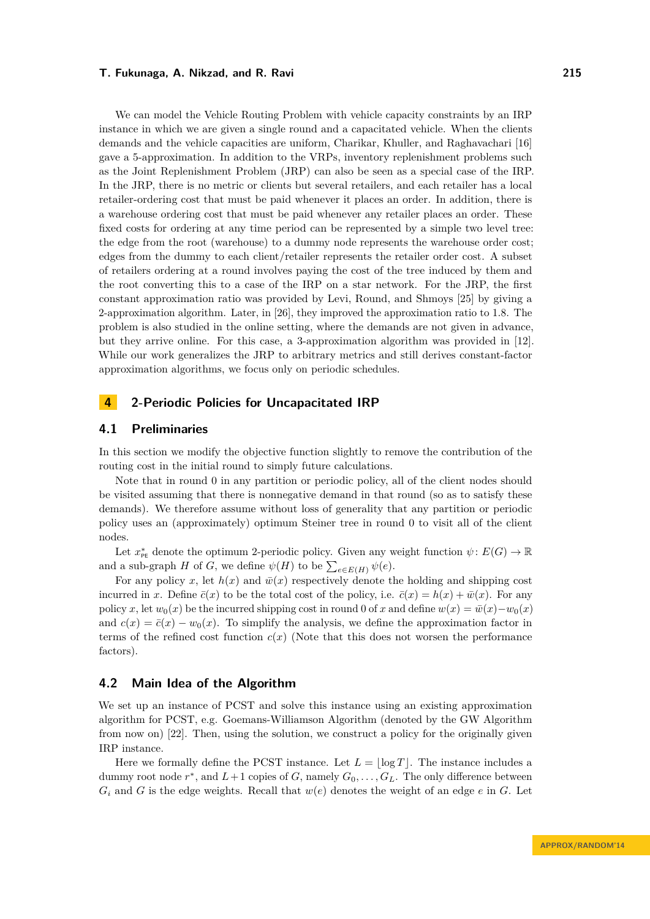We can model the Vehicle Routing Problem with vehicle capacity constraints by an IRP instance in which we are given a single round and a capacitated vehicle. When the clients demands and the vehicle capacities are uniform, Charikar, Khuller, and Raghavachari [\[16\]](#page-15-15) gave a 5-approximation. In addition to the VRPs, inventory replenishment problems such as the Joint Replenishment Problem (JRP) can also be seen as a special case of the IRP. In the JRP, there is no metric or clients but several retailers, and each retailer has a local retailer-ordering cost that must be paid whenever it places an order. In addition, there is a warehouse ordering cost that must be paid whenever any retailer places an order. These fixed costs for ordering at any time period can be represented by a simple two level tree: the edge from the root (warehouse) to a dummy node represents the warehouse order cost; edges from the dummy to each client/retailer represents the retailer order cost. A subset of retailers ordering at a round involves paying the cost of the tree induced by them and the root converting this to a case of the IRP on a star network. For the JRP, the first constant approximation ratio was provided by Levi, Round, and Shmoys [\[25\]](#page-15-16) by giving a 2-approximation algorithm. Later, in [\[26\]](#page-15-17), they improved the approximation ratio to 1*.*8. The problem is also studied in the online setting, where the demands are not given in advance, but they arrive online. For this case, a 3-approximation algorithm was provided in [\[12\]](#page-15-18). While our work generalizes the JRP to arbitrary metrics and still derives constant-factor approximation algorithms, we focus only on periodic schedules.

# <span id="page-6-0"></span>**4 2-Periodic Policies for Uncapacitated IRP**

## **4.1 Preliminaries**

In this section we modify the objective function slightly to remove the contribution of the routing cost in the initial round to simply future calculations.

Note that in round 0 in any partition or periodic policy, all of the client nodes should be visited assuming that there is nonnegative demand in that round (so as to satisfy these demands). We therefore assume without loss of generality that any partition or periodic policy uses an (approximately) optimum Steiner tree in round 0 to visit all of the client nodes.

Let  $x^*_{\text{pe}}$  denote the optimum 2-periodic policy. Given any weight function  $\psi: E(G) \to \mathbb{R}$ and a sub-graph *H* of *G*, we define  $\psi(H)$  to be  $\sum_{e \in E(H)} \psi(e)$ .

For any policy x, let  $h(x)$  and  $\bar{w}(x)$  respectively denote the holding and shipping cost incurred in *x*. Define  $\bar{c}(x)$  to be the total cost of the policy, i.e.  $\bar{c}(x) = h(x) + \bar{w}(x)$ . For any policy *x*, let  $w_0(x)$  be the incurred shipping cost in round 0 of *x* and define  $w(x) = \bar{w}(x) - w_0(x)$ and  $c(x) = \bar{c}(x) - w_0(x)$ . To simplify the analysis, we define the approximation factor in terms of the refined cost function  $c(x)$  (Note that this does not worsen the performance factors).

### **4.2 Main Idea of the Algorithm**

We set up an instance of PCST and solve this instance using an existing approximation algorithm for PCST, e.g. Goemans-Williamson Algorithm (denoted by the GW Algorithm from now on) [\[22\]](#page-15-11). Then, using the solution, we construct a policy for the originally given IRP instance.

Here we formally define the PCST instance. Let  $L = |\log T|$ . The instance includes a dummy root node  $r^*$ , and  $L+1$  copies of  $G$ , namely  $G_0, \ldots, G_L$ . The only difference between  $G_i$  and *G* is the edge weights. Recall that  $w(e)$  denotes the weight of an edge *e* in *G*. Let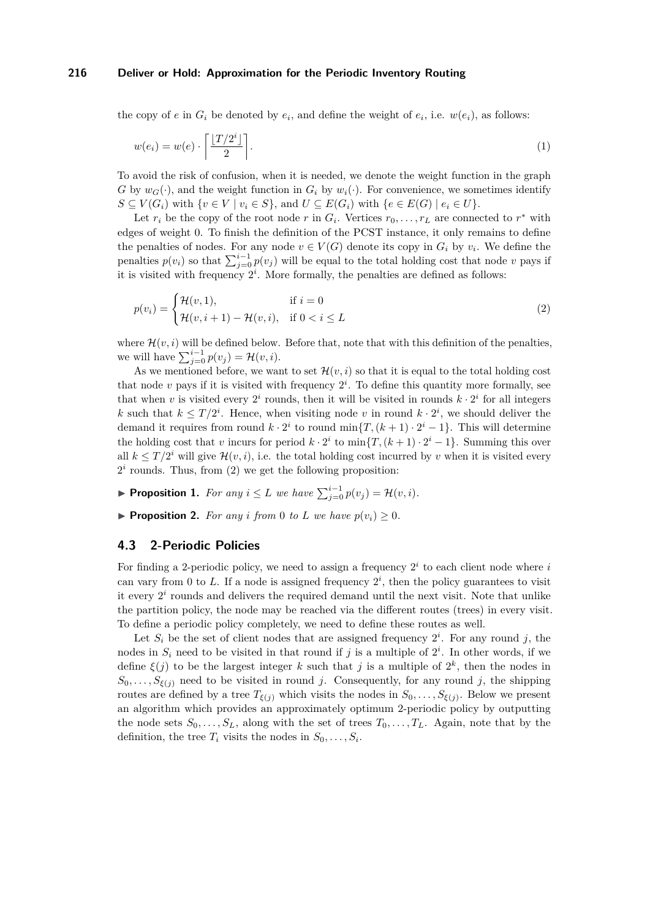the copy of *e* in  $G_i$  be denoted by  $e_i$ , and define the weight of  $e_i$ , i.e.  $w(e_i)$ , as follows:

$$
w(e_i) = w(e) \cdot \left\lceil \frac{\lfloor T/2^i \rfloor}{2} \right\rceil. \tag{1}
$$

To avoid the risk of confusion, when it is needed, we denote the weight function in the graph *G* by  $w_G(\cdot)$ , and the weight function in  $G_i$  by  $w_i(\cdot)$ . For convenience, we sometimes identify *S* ⊆ *V*(*G<sub>i</sub>*) with {*v* ∈ *V* | *v<sub>i</sub>* ∈ *S*}, and *U* ⊆ *E*(*G<sub>i</sub>*) with {*e* ∈ *E*(*G*) | *e<sub>i</sub>* ∈ *U*}.

Let  $r_i$  be the copy of the root node  $r$  in  $G_i$ . Vertices  $r_0, \ldots, r_L$  are connected to  $r^*$  with edges of weight 0. To finish the definition of the PCST instance, it only remains to define the penalties of nodes. For any node  $v \in V(G)$  denote its copy in  $G_i$  by  $v_i$ . We define the penalties  $p(v_i)$  so that  $\sum_{j=0}^{i-1} p(v_j)$  will be equal to the total holding cost that node *v* pays if it is visited with frequency  $2^i$ . More formally, the penalties are defined as follows:

<span id="page-7-0"></span>
$$
p(v_i) = \begin{cases} \mathcal{H}(v,1), & \text{if } i = 0\\ \mathcal{H}(v,i+1) - \mathcal{H}(v,i), & \text{if } 0 < i \le L \end{cases} \tag{2}
$$

where  $\mathcal{H}(v, i)$  will be defined below. Before that, note that with this definition of the penalties, we will have  $\sum_{j=0}^{i-1} p(v_j) = \mathcal{H}(v, i)$ .

As we mentioned before, we want to set  $\mathcal{H}(v, i)$  so that it is equal to the total holding cost that node  $v$  pays if it is visited with frequency  $2^i$ . To define this quantity more formally, see that when *v* is visited every  $2^i$  rounds, then it will be visited in rounds  $k \cdot 2^i$  for all integers *k* such that  $k \leq T/2^i$ . Hence, when visiting node *v* in round  $k \cdot 2^i$ , we should deliver the demand it requires from round  $k \cdot 2^i$  to round min $\{T,(k+1)\cdot 2^i-1\}$ . This will determine the holding cost that *v* incurs for period  $k \cdot 2^i$  to  $\min\{T, (k+1) \cdot 2^i - 1\}$ . Summing this over all  $k \leq T/2^i$  will give  $\mathcal{H}(v, i)$ , i.e. the total holding cost incurred by *v* when it is visited every  $2<sup>i</sup>$  rounds. Thus, from  $(2)$  we get the following proposition:

- <span id="page-7-2"></span>▶ **Proposition 1.** *For any*  $i \leq L$  *we have*  $\sum_{j=0}^{i-1} p(v_j) = \mathcal{H}(v, i)$ *.*
- **Proposition 2.** For any *i* from 0 *to L* we have  $p(v_i) \geq 0$ .

# <span id="page-7-1"></span>**4.3 2-Periodic Policies**

For finding a 2-periodic policy, we need to assign a frequency 2 *i* to each client node where *i* can vary from 0 to L. If a node is assigned frequency  $2^i$ , then the policy guarantees to visit it every  $2<sup>i</sup>$  rounds and delivers the required demand until the next visit. Note that unlike the partition policy, the node may be reached via the different routes (trees) in every visit. To define a periodic policy completely, we need to define these routes as well.

Let  $S_i$  be the set of client nodes that are assigned frequency  $2^i$ . For any round j, the nodes in  $S_i$  need to be visited in that round if *j* is a multiple of  $2^i$ . In other words, if we define  $\xi(j)$  to be the largest integer k such that j is a multiple of  $2^k$ , then the nodes in  $S_0, \ldots, S_{\xi(j)}$  need to be visited in round *j*. Consequently, for any round *j*, the shipping routes are defined by a tree  $T_{\xi(j)}$  which visits the nodes in  $S_0, \ldots, S_{\xi(j)}$ . Below we present an algorithm which provides an approximately optimum 2-periodic policy by outputting the node sets  $S_0, \ldots, S_L$ , along with the set of trees  $T_0, \ldots, T_L$ . Again, note that by the definition, the tree  $T_i$  visits the nodes in  $S_0, \ldots, S_i$ .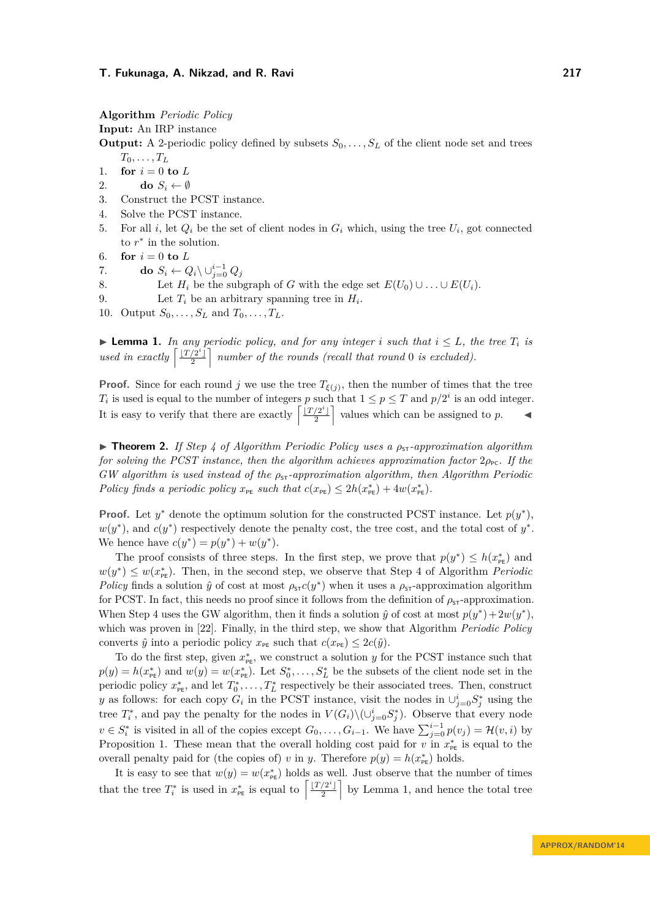**Algorithm** *Periodic Policy*

**Input:** An IRP instance

**Output:** A 2-periodic policy defined by subsets  $S_0, \ldots, S_L$  of the client node set and trees  $T_0, \ldots, T_L$ 

- 1. **for**  $i = 0$  **to**  $L$
- 2. **do**  $S_i \leftarrow \emptyset$
- 3. Construct the PCST instance.
- 4. Solve the PCST instance.
- 5. For all *i*, let  $Q_i$  be the set of client nodes in  $G_i$  which, using the tree  $U_i$ , got connected to  $r^*$  in the solution.
- 6. **for**  $i = 0$  **to**  $L$
- 7. **do**  $S_i \leftarrow Q_i \setminus \cup_{j=0}^{i-1} Q_j$
- 8. Let  $H_i$  be the subgraph of *G* with the edge set  $E(U_0) \cup \ldots \cup E(U_i)$ .
- 9. Let  $T_i$  be an arbitrary spanning tree in  $H_i$ .

10. Output  $S_0, \ldots, S_L$  and  $T_0, \ldots, T_L$ .

<span id="page-8-0"></span>▶ **Lemma 1.** *In any periodic policy, and for any integer <i>i* such that  $i ≤ L$ *, the tree*  $T_i$  *is used in exactly*  $\left[\frac{\lfloor T/2^i \rfloor}{2}\right]$  $\left[\frac{2^{i}}{2}\right]$  number of the rounds (recall that round 0 is excluded).

**Proof.** Since for each round *j* we use the tree  $T_{\xi(j)}$ , then the number of times that the tree *T<sub>i</sub>* is used is equal to the number of integers *p* such that  $1 \leq p \leq T$  and  $p/2^i$  is an odd integer. It is easy to verify that there are exactly  $\left[\frac{|T/2^i|}{2}\right]$  $\left[\frac{2^i}{2}\right]$  values which can be assigned to *p*.

► **Theorem 2.** *If Step 4 of Algorithm [Periodic Policy](#page-7-1) uses a*  $\rho_{5}$ *-approximation algorithm for solving the PCST instance, then the algorithm achieves approximation factor*  $2\rho_{\text{pc}}$ *. If the GW algorithm is used instead of the*  $ρ_{5T}$ *-approximation algorithm, then Algorithm [Periodic](#page-7-1) [Policy](#page-7-1) finds* a periodic policy  $x_{pE}$  *such that*  $c(x_{pE}) \leq 2h(x_{pE}^*) + 4w(x_{pE}^*)$ .

**Proof.** Let  $y^*$  denote the optimum solution for the constructed PCST instance. Let  $p(y^*)$ ,  $w(y^*)$ , and  $c(y^*)$  respectively denote the penalty cost, the tree cost, and the total cost of  $y^*$ . We hence have  $c(y^*) = p(y^*) + w(y^*)$ .

The proof consists of three steps. In the first step, we prove that  $p(y^*) \leq h(x^*_{\text{PE}})$  and  $w(y^*) \leq w(x_{\text{PE}}^*)$ . Then, in the second step, we observe that Step 4 of Algorithm *[Periodic](#page-7-1) [Policy](#page-7-1)* finds a solution  $\hat{y}$  of cost at most  $\rho_{ST}c(y^*)$  when it uses a  $\rho_{ST}$ -approximation algorithm for PCST. In fact, this needs no proof since it follows from the definition of  $\rho_{ST}$ -approximation. When Step 4 uses the GW algorithm, then it finds a solution  $\hat{y}$  of cost at most  $p(y^*) + 2w(y^*)$ , which was proven in [\[22\]](#page-15-11). Finally, in the third step, we show that Algorithm *[Periodic Policy](#page-7-1)* converts  $\hat{y}$  into a periodic policy  $x_{\text{PE}}$  such that  $c(x_{\text{PE}}) \leq 2c(\hat{y})$ .

To do the first step, given  $x_{\text{pe}}^*$ , we construct a solution *y* for the PCST instance such that  $p(y) = h(x_{\text{PE}}^*)$  and  $w(y) = w(x_{\text{PE}}^*)$ . Let  $S_0^*, \ldots, S_L^*$  be the subsets of the client node set in the periodic policy  $x_{p_{\text{E}}}^*$ , and let  $T_0^*, \ldots, T_L^*$  respectively be their associated trees. Then, construct *y* as follows: for each copy  $G_i$  in the PCST instance, visit the nodes in  $\bigcup_{j=0}^{i} S_j^*$  using the tree  $T_i^*$ , and pay the penalty for the nodes in  $V(G_i) \setminus (\cup_{j=0}^i S_j^*)$ . Observe that every node *v* ∈  $S_i^*$  is visited in all of the copies except  $G_0, \ldots, G_{i-1}$ . We have  $\sum_{j=0}^{i-1} p(v_j) = \mathcal{H}(v, i)$  by Proposition [1.](#page-7-2) These mean that the overall holding cost paid for *v* in  $x_{pE}^*$  is equal to the overall penalty paid for (the copies of) *v* in *y*. Therefore  $p(y) = h(x_{\text{PE}}^{*})$  holds.

It is easy to see that  $w(y) = w(x_{p_{\text{E}}}^*)$  holds as well. Just observe that the number of times that the tree  $T_i^*$  is used in  $x_{\text{PE}}^*$  is equal to  $\left\lceil \frac{\lfloor T/2^i \rfloor}{2} \right\rceil$  $\left(\frac{2^{i}}{2}\right)$  by Lemma [1,](#page-8-0) and hence the total tree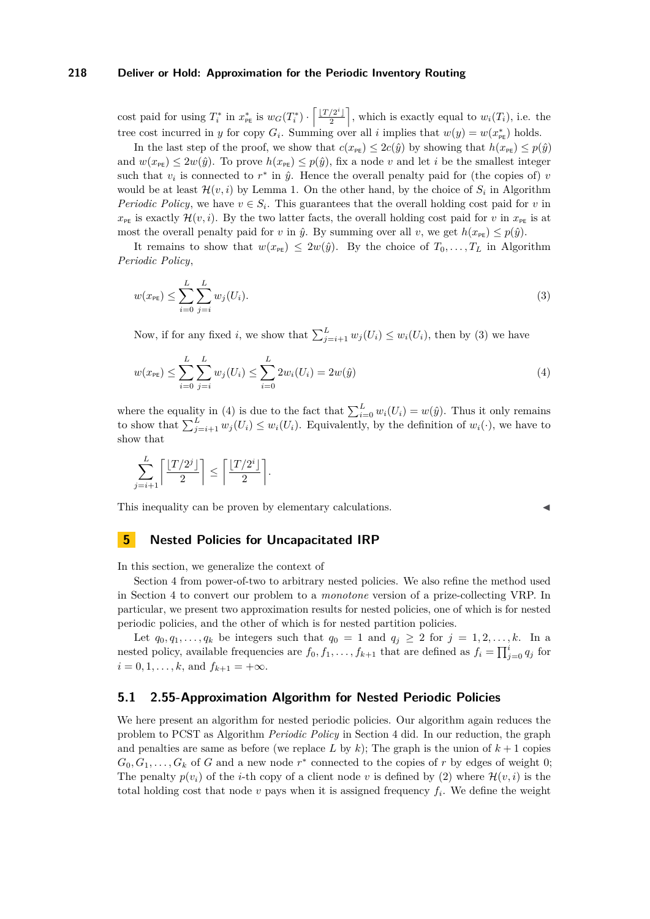cost paid for using  $T_i^*$  in  $x_{\text{PE}}^*$  is  $w_G(T_i^*) \cdot \left[ \frac{\lfloor T/2^i \rfloor}{2} \right]$  $\left[\frac{\sqrt{2}^i}{2}\right]$ , which is exactly equal to  $w_i(T_i)$ , i.e. the tree cost incurred in *y* for copy  $G_i$ . Summing over all *i* implies that  $w(y) = w(x_{\text{PE}}^*)$  holds.

In the last step of the proof, we show that  $c(x_{pE}) \leq 2c(\hat{y})$  by showing that  $h(x_{pE}) \leq p(\hat{y})$ and  $w(x_{\text{PE}}) \leq 2w(\hat{y})$ . To prove  $h(x_{\text{PE}}) \leq p(\hat{y})$ , fix a node *v* and let *i* be the smallest integer such that  $v_i$  is connected to  $r^*$  in  $\hat{y}$ . Hence the overall penalty paid for (the copies of) *v* would be at least  $\mathcal{H}(v, i)$  by Lemma [1.](#page-8-0) On the other hand, by the choice of  $S_i$  in Algorithm *[Periodic Policy](#page-7-1)*, we have  $v \in S_i$ . This guarantees that the overall holding cost paid for *v* in  $x_{pE}$  is exactly  $\mathcal{H}(v, i)$ . By the two latter facts, the overall holding cost paid for *v* in  $x_{pE}$  is at most the overall penalty paid for *v* in  $\hat{y}$ . By summing over all *v*, we get  $h(x_{p\epsilon}) \leq p(\hat{y})$ .

It remains to show that  $w(x_{pE}) \leq 2w(\hat{y})$ . By the choice of  $T_0, \ldots, T_L$  in Algorithm *[Periodic Policy](#page-7-1)*,

<span id="page-9-1"></span>
$$
w(x_{\text{PE}}) \le \sum_{i=0}^{L} \sum_{j=i}^{L} w_j(U_i). \tag{3}
$$

Now, if for any fixed *i*, we show that  $\sum_{j=i+1}^{L} w_j(U_i) \leq w_i(U_i)$ , then by [\(3\)](#page-9-1) we have

$$
w(x_{PE}) \le \sum_{i=0}^{L} \sum_{j=i}^{L} w_j(U_i) \le \sum_{i=0}^{L} 2w_i(U_i) = 2w(\hat{y})
$$
\n(4)

where the equality in [\(4\)](#page-9-2) is due to the fact that  $\sum_{i=0}^{L} w_i(U_i) = w(\hat{y})$ . Thus it only remains to show that  $\sum_{j=i+1}^{L} w_j(U_i) \leq w_i(U_i)$ . Equivalently, by the definition of  $w_i(\cdot)$ , we have to show that

$$
\sum_{j=i+1}^{L} \left\lceil \frac{\lfloor T/2^j \rfloor}{2} \right\rceil \le \left\lceil \frac{\lfloor T/2^i \rfloor}{2} \right\rceil.
$$

This inequality can be proven by elementary calculations.

<span id="page-9-2"></span>

# <span id="page-9-0"></span>**5 Nested Policies for Uncapacitated IRP**

In this section, we generalize the context of

Section [4](#page-6-0) from power-of-two to arbitrary nested policies. We also refine the method used in Section [4](#page-6-0) to convert our problem to a *monotone* version of a prize-collecting VRP. In particular, we present two approximation results for nested policies, one of which is for nested periodic policies, and the other of which is for nested partition policies.

Let  $q_0, q_1, \ldots, q_k$  be integers such that  $q_0 = 1$  and  $q_i \geq 2$  for  $j = 1, 2, \ldots, k$ . In a nested policy, available frequencies are  $f_0, f_1, \ldots, f_{k+1}$  that are defined as  $f_i = \prod_{j=0}^{i} q_j$  for  $i = 0, 1, \ldots, k$ , and  $f_{k+1} = +\infty$ .

### **5.1 2.55-Approximation Algorithm for Nested Periodic Policies**

We here present an algorithm for nested periodic policies. Our algorithm again reduces the problem to PCST as Algorithm *[Periodic Policy](#page-7-1)* in Section [4](#page-6-0) did. In our reduction, the graph and penalties are same as before (we replace L by k); The graph is the union of  $k + 1$  copies  $G_0, G_1, \ldots, G_k$  of *G* and a new node  $r^*$  connected to the copies of *r* by edges of weight 0; The penalty  $p(v_i)$  of the *i*-th copy of a client node *v* is defined by [\(2\)](#page-7-0) where  $\mathcal{H}(v, i)$  is the total holding cost that node *v* pays when it is assigned frequency *f<sup>i</sup>* . We define the weight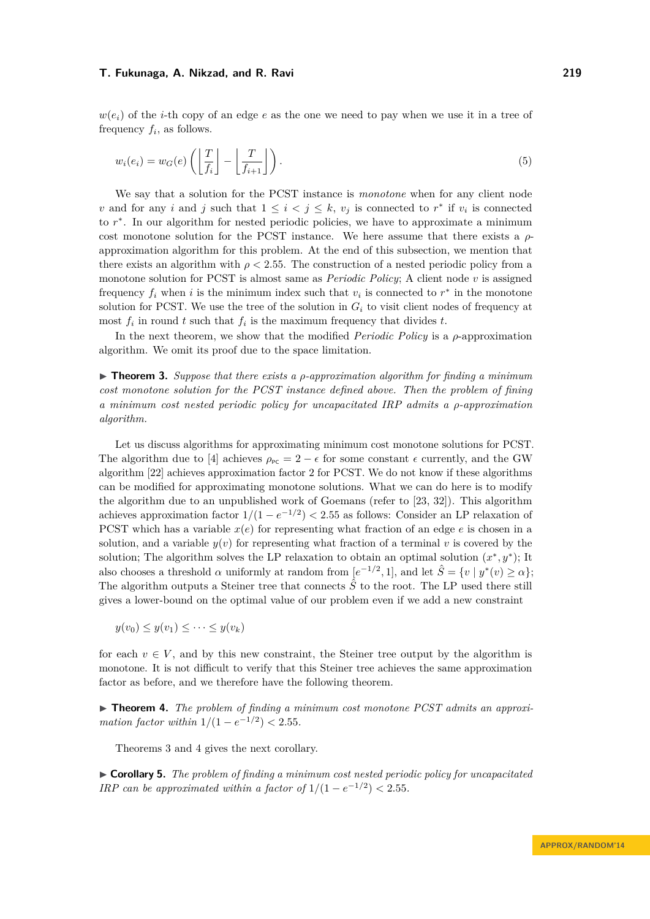$w(e_i)$  of the *i*-th copy of an edge *e* as the one we need to pay when we use it in a tree of frequency  $f_i$ , as follows.

$$
w_i(e_i) = w_G(e) \left( \left\lfloor \frac{T}{f_i} \right\rfloor - \left\lfloor \frac{T}{f_{i+1}} \right\rfloor \right). \tag{5}
$$

We say that a solution for the PCST instance is *monotone* when for any client node *v* and for any *i* and *j* such that  $1 \leq i < j \leq k$ , *v<sub>j</sub>* is connected to *r*<sup>\*</sup> if *v<sub>i</sub>* is connected to  $r$ <sup>\*</sup>. In our algorithm for nested periodic policies, we have to approximate a minimum cost monotone solution for the PCST instance. We here assume that there exists a *ρ*approximation algorithm for this problem. At the end of this subsection, we mention that there exists an algorithm with  $\rho < 2.55$ . The construction of a nested periodic policy from a monotone solution for PCST is almost same as *[Periodic Policy](#page-7-1)*; A client node *v* is assigned frequency  $f_i$  when *i* is the minimum index such that  $v_i$  is connected to  $r^*$  in the monotone solution for PCST. We use the tree of the solution in  $G_i$  to visit client nodes of frequency at most  $f_i$  in round  $t$  such that  $f_i$  is the maximum frequency that divides  $t$ .

In the next theorem, we show that the modified *[Periodic Policy](#page-7-1)* is a *ρ*-approximation algorithm. We omit its proof due to the space limitation.

<span id="page-10-1"></span>I **Theorem 3.** *Suppose that there exists a ρ-approximation algorithm for finding a minimum cost monotone solution for the PCST instance defined above. Then the problem of fining a minimum cost nested periodic policy for uncapacitated IRP admits a ρ-approximation algorithm.*

Let us discuss algorithms for approximating minimum cost monotone solutions for PCST. The algorithm due to [\[4\]](#page-14-2) achieves  $\rho_{\text{PC}} = 2 - \epsilon$  for some constant  $\epsilon$  currently, and the GW algorithm [\[22\]](#page-15-11) achieves approximation factor 2 for PCST. We do not know if these algorithms can be modified for approximating monotone solutions. What we can do here is to modify the algorithm due to an unpublished work of Goemans (refer to [\[23,](#page-15-19) [32\]](#page-16-4)). This algorithm achieves approximation factor  $1/(1 - e^{-1/2}) < 2.55$  as follows: Consider an LP relaxation of PCST which has a variable *x*(*e*) for representing what fraction of an edge *e* is chosen in a solution, and a variable  $y(v)$  for representing what fraction of a terminal v is covered by the solution; The algorithm solves the LP relaxation to obtain an optimal solution  $(x^*, y^*)$ ; It also chooses a threshold  $\alpha$  uniformly at random from  $[e^{-1/2}, 1]$ , and let  $\hat{S} = \{v \mid y^*(v) \ge \alpha\};$ The algorithm outputs a Steiner tree that connects  $\hat{S}$  to the root. The LP used there still gives a lower-bound on the optimal value of our problem even if we add a new constraint

$$
y(v_0) \leq y(v_1) \leq \cdots \leq y(v_k)
$$

for each  $v \in V$ , and by this new constraint, the Steiner tree output by the algorithm is monotone. It is not difficult to verify that this Steiner tree achieves the same approximation factor as before, and we therefore have the following theorem.

<span id="page-10-2"></span>▶ **Theorem 4.** The problem of finding a minimum cost monotone PCST admits an approxi*mation factor within*  $1/(1 - e^{-1/2}) < 2.55$ .

Theorems [3](#page-10-1) and [4](#page-10-2) gives the next corollary.

<span id="page-10-0"></span>I **Corollary 5.** *The problem of finding a minimum cost nested periodic policy for uncapacitated IRP* can be approximated within a factor of  $1/(1 - e^{-1/2}) < 2.55$ .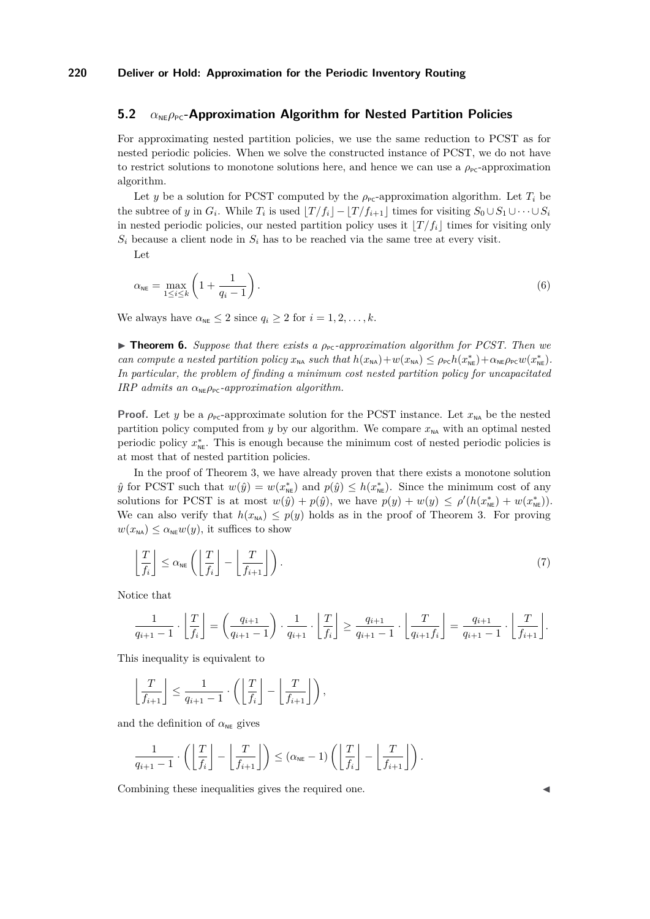### **5.2** *α*<sub>NE</sub> $\rho_{\text{PC}}$ -Approximation Algorithm for Nested Partition Policies

For approximating nested partition policies, we use the same reduction to PCST as for nested periodic policies. When we solve the constructed instance of PCST, we do not have to restrict solutions to monotone solutions here, and hence we can use a  $\rho_{\text{pc}}$ -approximation algorithm.

Let *y* be a solution for PCST computed by the  $\rho_{\text{PC}}$ -approximation algorithm. Let  $T_i$  be the subtree of *y* in  $G_i$ . While  $T_i$  is used  $\lfloor T/f_i \rfloor - \lfloor T/f_{i+1} \rfloor$  times for visiting  $S_0 \cup S_1 \cup \cdots \cup S_i$ in nested periodic policies, our nested partition policy uses it  $|T/f_i|$  times for visiting only  $S_i$  because a client node in  $S_i$  has to be reached via the same tree at every visit.

Let

$$
\alpha_{\text{NE}} = \max_{1 \le i \le k} \left( 1 + \frac{1}{q_i - 1} \right). \tag{6}
$$

We always have  $\alpha_{\text{NE}} \leq 2$  since  $q_i \geq 2$  for  $i = 1, 2, \ldots, k$ .

<span id="page-11-0"></span>**► Theorem 6.** Suppose that there exists a  $\rho_{\text{pc}}$ -approximation algorithm for PCST. Then we *can compute a nested partition policy*  $x_{N\mathsf{A}}$  *such that*  $h(x_{N\mathsf{A}}) + w(x_{N\mathsf{A}}) \leq \rho_{\text{PC}} h(x_{N\mathsf{E}}^*) + \alpha_{N\mathsf{E}} \rho_{\text{PC}} w(x_{N\mathsf{E}}^*)$ . *In particular, the problem of finding a minimum cost nested partition policy for uncapacitated IRP* admits an  $\alpha_{\text{NE}}\rho_{\text{PC}}$ -approximation algorithm.

**Proof.** Let *y* be a  $\rho_{pc}$ -approximate solution for the PCST instance. Let  $x_{NA}$  be the nested partition policy computed from  $y$  by our algorithm. We compare  $x_{NA}$  with an optimal nested periodic policy  $x_{\text{NE}}^*$ . This is enough because the minimum cost of nested periodic policies is at most that of nested partition policies.

In the proof of Theorem [3,](#page-10-1) we have already proven that there exists a monotone solution  $\hat{y}$  for PCST such that  $w(\hat{y}) = w(x_{\text{NE}}^*)$  and  $p(\hat{y}) \leq h(x_{\text{NE}}^*)$ . Since the minimum cost of any solutions for PCST is at most  $w(\hat{y}) + p(\hat{y})$ , we have  $p(y) + w(y) \leq \rho'(h(x_{\text{NE}}^*) + w(x_{\text{NE}}^*)$ . We can also verify that  $h(x_{N_A}) \leq p(y)$  holds as in the proof of Theorem [3.](#page-10-1) For proving  $w(x_{\text{NA}}) \leq \alpha_{\text{NE}} w(y)$ , it suffices to show

$$
\left\lfloor \frac{T}{f_i} \right\rfloor \le \alpha_{\text{NE}} \left( \left\lfloor \frac{T}{f_i} \right\rfloor - \left\lfloor \frac{T}{f_{i+1}} \right\rfloor \right). \tag{7}
$$

Notice that

$$
\frac{1}{q_{i+1}-1}\cdot\left\lfloor\frac{T}{f_i}\right\rfloor=\left(\frac{q_{i+1}}{q_{i+1}-1}\right)\cdot\frac{1}{q_{i+1}}\cdot\left\lfloor\frac{T}{f_i}\right\rfloor\ge\frac{q_{i+1}}{q_{i+1}-1}\cdot\left\lfloor\frac{T}{q_{i+1}f_i}\right\rfloor=\frac{q_{i+1}}{q_{i+1}-1}\cdot\left\lfloor\frac{T}{f_{i+1}}\right\rfloor.
$$

This inequality is equivalent to

$$
\left\lfloor \frac{T}{f_{i+1}} \right\rfloor \leq \frac{1}{q_{i+1}-1} \cdot \left( \left\lfloor \frac{T}{f_i} \right\rfloor - \left\lfloor \frac{T}{f_{i+1}} \right\rfloor \right),
$$

and the definition of  $\alpha_{\text{NE}}$  gives

$$
\frac{1}{q_{i+1}-1} \cdot \left( \left\lfloor \frac{T}{f_i} \right\rfloor - \left\lfloor \frac{T}{f_{i+1}} \right\rfloor \right) \leq (\alpha_{\text{NE}} - 1) \left( \left\lfloor \frac{T}{f_i} \right\rfloor - \left\lfloor \frac{T}{f_{i+1}} \right\rfloor \right).
$$

Combining these inequalities gives the required one.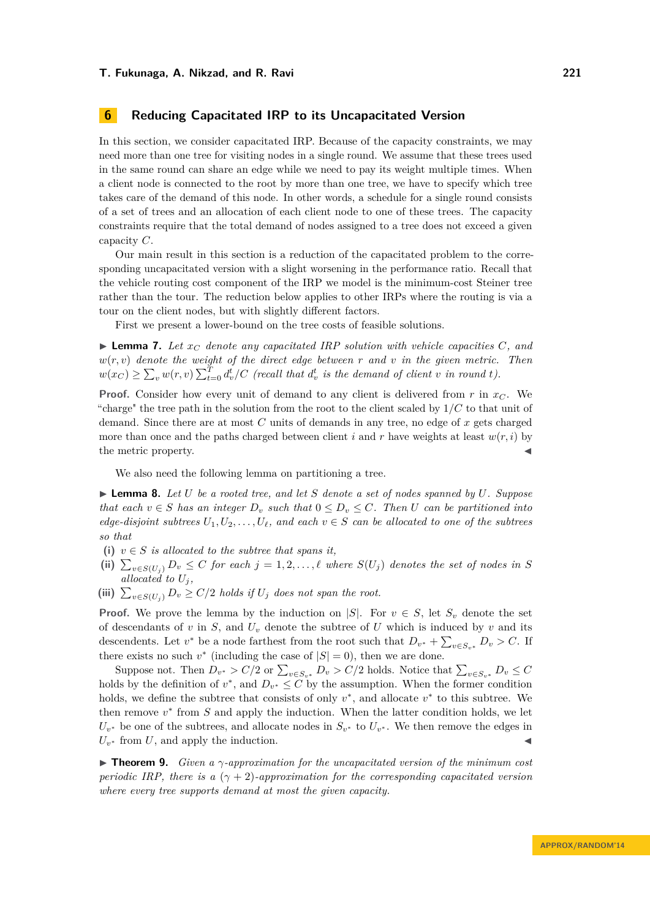# <span id="page-12-0"></span>**6 Reducing Capacitated IRP to its Uncapacitated Version**

In this section, we consider capacitated IRP. Because of the capacity constraints, we may need more than one tree for visiting nodes in a single round. We assume that these trees used in the same round can share an edge while we need to pay its weight multiple times. When a client node is connected to the root by more than one tree, we have to specify which tree takes care of the demand of this node. In other words, a schedule for a single round consists of a set of trees and an allocation of each client node to one of these trees. The capacity constraints require that the total demand of nodes assigned to a tree does not exceed a given capacity *C*.

Our main result in this section is a reduction of the capacitated problem to the corresponding uncapacitated version with a slight worsening in the performance ratio. Recall that the vehicle routing cost component of the IRP we model is the minimum-cost Steiner tree rather than the tour. The reduction below applies to other IRPs where the routing is via a tour on the client nodes, but with slightly different factors.

First we present a lower-bound on the tree costs of feasible solutions.

<span id="page-12-3"></span> $\blacktriangleright$  **Lemma 7.** Let  $x_C$  denote any capacitated IRP solution with vehicle capacities C, and  $w(r, v)$  *denote the weight of the direct edge between*  $r$  *and*  $v$  *in the given metric. Then*  $w(x_C) \ge \sum_v w(r, v) \sum_{t=0}^T d_v^t / C$  (recall that  $d_v^t$  is the demand of client v in round t).

**Proof.** Consider how every unit of demand to any client is delivered from *r* in *x<sup>C</sup>* . We "charge" the tree path in the solution from the root to the client scaled by 1*/C* to that unit of demand. Since there are at most *C* units of demands in any tree, no edge of *x* gets charged more than once and the paths charged between client *i* and *r* have weights at least  $w(r, i)$  by the metric property.

We also need the following lemma on partitioning a tree.

<span id="page-12-2"></span> $\blacktriangleright$  **Lemma 8.** Let U be a rooted tree, and let S denote a set of nodes spanned by U. Suppose *that each*  $v \in S$  *has an integer*  $D_v$  *such that*  $0 \leq D_v \leq C$ *. Then U can be partitioned into edge-disjoint subtrees*  $U_1, U_2, \ldots, U_\ell$ , and each  $v \in S$  *can be allocated to one of the subtrees so that*

- (i)  $v \in S$  *is allocated to the subtree that spans it,*
- $\sum_{v \in S(U_j)} D_v \leq C$  *for each*  $j = 1, 2, \ldots, \ell$  where  $S(U_j)$  denotes the set of nodes in *S allocated to*  $U_j$ ,
- (iii)  $\sum_{v \in S(U_j)} D_v \ge C/2$  *holds if*  $U_j$  *does not span the root.*

**Proof.** We prove the lemma by the induction on |*S*|. For  $v \in S$ , let  $S_v$  denote the set of descendants of  $v$  in  $S$ , and  $U_v$  denote the subtree of  $U$  which is induced by  $v$  and its descendents. Let  $v^*$  be a node farthest from the root such that  $D_{v^*} + \sum_{v \in S_{v^*}} D_v > C$ . If there exists no such  $v^*$  (including the case of  $|S| = 0$ ), then we are done.

Suppose not. Then  $D_{v^*} > C/2$  or  $\sum_{v \in S_{v^*}} D_v > C/2$  holds. Notice that  $\sum_{v \in S_{v^*}} D_v \leq C$ holds by the definition of  $v^*$ , and  $D_{v^*} \leq C$  by the assumption. When the former condition holds, we define the subtree that consists of only  $v^*$ , and allocate  $v^*$  to this subtree. We then remove  $v^*$  from  $S$  and apply the induction. When the latter condition holds, we let  $U_{v^*}$  be one of the subtrees, and allocate nodes in  $S_{v^*}$  to  $U_{v^*}$ . We then remove the edges in  $U_{v^*}$  from  $U$ , and apply the induction.

<span id="page-12-1"></span>I **Theorem 9.** *Given a γ-approximation for the uncapacitated version of the minimum cost periodic IRP, there is a*  $(\gamma + 2)$ *-approximation for the corresponding capacitated version where every tree supports demand at most the given capacity.*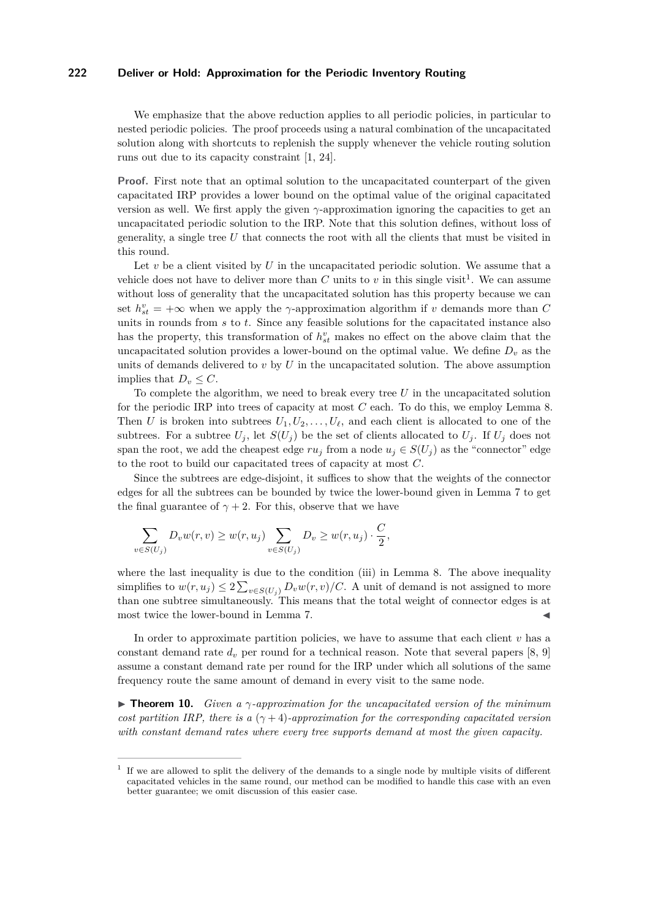We emphasize that the above reduction applies to all periodic policies, in particular to nested periodic policies. The proof proceeds using a natural combination of the uncapacitated solution along with shortcuts to replenish the supply whenever the vehicle routing solution runs out due to its capacity constraint [\[1,](#page-14-4) [24\]](#page-15-20).

**Proof.** First note that an optimal solution to the uncapacitated counterpart of the given capacitated IRP provides a lower bound on the optimal value of the original capacitated version as well. We first apply the given *γ*-approximation ignoring the capacities to get an uncapacitated periodic solution to the IRP. Note that this solution defines, without loss of generality, a single tree *U* that connects the root with all the clients that must be visited in this round.

Let *v* be a client visited by *U* in the uncapacitated periodic solution. We assume that a vehicle does not have to deliver more than  $C$  units to  $v$  in this single visit<sup>[1](#page-13-1)</sup>. We can assume without loss of generality that the uncapacitated solution has this property because we can set  $h_{st}^v = +\infty$  when we apply the *γ*-approximation algorithm if *v* demands more than *C* units in rounds from *s* to *t*. Since any feasible solutions for the capacitated instance also has the property, this transformation of  $h_{st}^v$  makes no effect on the above claim that the uncapacitated solution provides a lower-bound on the optimal value. We define  $D<sub>v</sub>$  as the units of demands delivered to *v* by *U* in the uncapacitated solution. The above assumption implies that  $D_v \leq C$ .

To complete the algorithm, we need to break every tree *U* in the uncapacitated solution for the periodic IRP into trees of capacity at most *C* each. To do this, we employ Lemma [8.](#page-12-2) Then *U* is broken into subtrees  $U_1, U_2, \ldots, U_\ell$ , and each client is allocated to one of the subtrees. For a subtree  $U_j$ , let  $S(U_j)$  be the set of clients allocated to  $U_j$ . If  $U_j$  does not span the root, we add the cheapest edge  $ru_j$  from a node  $u_j \in S(U_j)$  as the "connector" edge to the root to build our capacitated trees of capacity at most *C*.

Since the subtrees are edge-disjoint, it suffices to show that the weights of the connector edges for all the subtrees can be bounded by twice the lower-bound given in Lemma [7](#page-12-3) to get the final guarantee of  $\gamma + 2$ . For this, observe that we have

$$
\sum_{v \in S(U_j)} D_v w(r, v) \geq w(r, u_j) \sum_{v \in S(U_j)} D_v \geq w(r, u_j) \cdot \frac{C}{2},
$$

where the last inequality is due to the condition (iii) in Lemma [8.](#page-12-2) The above inequality simplifies to  $w(r, u_j) \leq 2 \sum_{v \in S(U_j)} D_v w(r, v) / C$ . A unit of demand is not assigned to more than one subtree simultaneously. This means that the total weight of connector edges is at most twice the lower-bound in Lemma [7.](#page-12-3)

In order to approximate partition policies, we have to assume that each client *v* has a constant demand rate *d<sup>v</sup>* per round for a technical reason. Note that several papers [\[8,](#page-15-21) [9\]](#page-15-22) assume a constant demand rate per round for the IRP under which all solutions of the same frequency route the same amount of demand in every visit to the same node.

<span id="page-13-0"></span>**In Theorem 10.** *Given a*  $\gamma$ -approximation for the uncapacitated version of the minimum *cost partition IRP, there is a*  $(\gamma + 4)$ *-approximation for the corresponding capacitated version with constant demand rates where every tree supports demand at most the given capacity.*

<span id="page-13-1"></span><sup>1</sup> If we are allowed to split the delivery of the demands to a single node by multiple visits of different capacitated vehicles in the same round, our method can be modified to handle this case with an even better guarantee; we omit discussion of this easier case.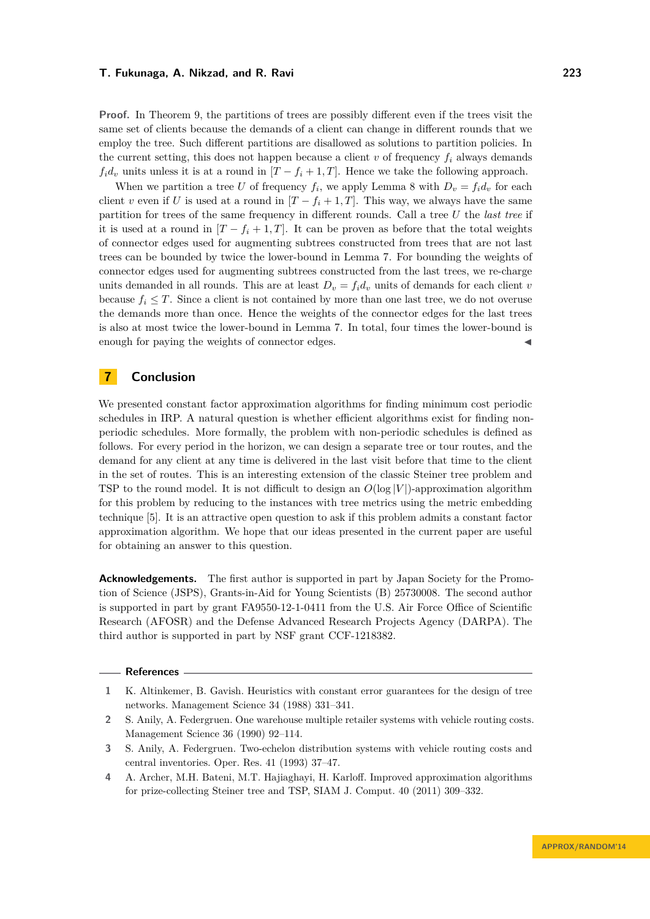**Proof.** In Theorem [9,](#page-12-1) the partitions of trees are possibly different even if the trees visit the same set of clients because the demands of a client can change in different rounds that we employ the tree. Such different partitions are disallowed as solutions to partition policies. In the current setting, this does not happen because a client  $v$  of frequency  $f_i$  always demands  $f_i d_v$  units unless it is at a round in  $[T - f_i + 1, T]$ . Hence we take the following approach.

When we partition a tree *U* of frequency  $f_i$ , we apply Lemma [8](#page-12-2) with  $D_v = f_i d_v$  for each client *v* even if *U* is used at a round in  $[T - f_i + 1, T]$ . This way, we always have the same partition for trees of the same frequency in different rounds. Call a tree *U* the *last tree* if it is used at a round in  $[T - f_i + 1, T]$ . It can be proven as before that the total weights of connector edges used for augmenting subtrees constructed from trees that are not last trees can be bounded by twice the lower-bound in Lemma [7.](#page-12-3) For bounding the weights of connector edges used for augmenting subtrees constructed from the last trees, we re-charge units demanded in all rounds. This are at least  $D_v = f_i d_v$  units of demands for each client *v* because  $f_i \leq T$ . Since a client is not contained by more than one last tree, we do not overuse the demands more than once. Hence the weights of the connector edges for the last trees is also at most twice the lower-bound in Lemma [7.](#page-12-3) In total, four times the lower-bound is enough for paying the weights of connector edges.

# <span id="page-14-3"></span>**7 Conclusion**

We presented constant factor approximation algorithms for finding minimum cost periodic schedules in IRP. A natural question is whether efficient algorithms exist for finding nonperiodic schedules. More formally, the problem with non-periodic schedules is defined as follows. For every period in the horizon, we can design a separate tree or tour routes, and the demand for any client at any time is delivered in the last visit before that time to the client in the set of routes. This is an interesting extension of the classic Steiner tree problem and TSP to the round model. It is not difficult to design an  $O(\log |V|)$ -approximation algorithm for this problem by reducing to the instances with tree metrics using the metric embedding technique [\[5\]](#page-15-23). It is an attractive open question to ask if this problem admits a constant factor approximation algorithm. We hope that our ideas presented in the current paper are useful for obtaining an answer to this question.

**Acknowledgements.** The first author is supported in part by Japan Society for the Promotion of Science (JSPS), Grants-in-Aid for Young Scientists (B) 25730008. The second author is supported in part by grant FA9550-12-1-0411 from the U.S. Air Force Office of Scientific Research (AFOSR) and the Defense Advanced Research Projects Agency (DARPA). The third author is supported in part by NSF grant CCF-1218382.

#### **References**

<span id="page-14-4"></span>**<sup>1</sup>** K. Altinkemer, B. Gavish. Heuristics with constant error guarantees for the design of tree networks. Management Science 34 (1988) 331–341.

<span id="page-14-0"></span>**<sup>2</sup>** S. Anily, A. Federgruen. One warehouse multiple retailer systems with vehicle routing costs. Management Science 36 (1990) 92–114.

<span id="page-14-1"></span>**<sup>3</sup>** S. Anily, A. Federgruen. Two-echelon distribution systems with vehicle routing costs and central inventories. Oper. Res. 41 (1993) 37–47.

<span id="page-14-2"></span>**<sup>4</sup>** A. Archer, M.H. Bateni, M.T. Hajiaghayi, H. Karloff. Improved approximation algorithms for prize-collecting Steiner tree and TSP, SIAM J. Comput. 40 (2011) 309–332.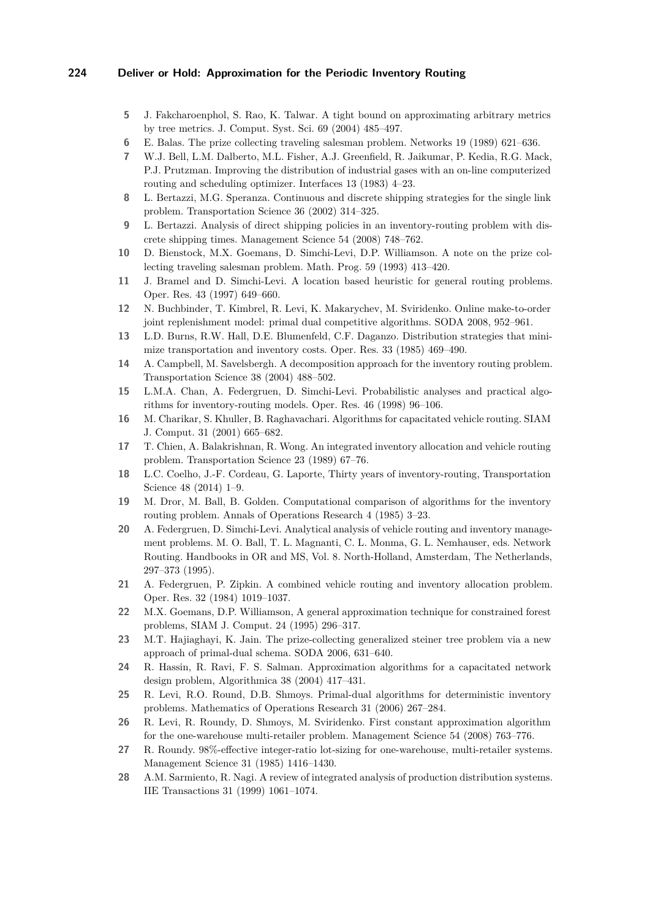- <span id="page-15-23"></span>**5** J. Fakcharoenphol, S. Rao, K. Talwar. A tight bound on approximating arbitrary metrics by tree metrics. J. Comput. Syst. Sci. 69 (2004) 485–497.
- <span id="page-15-9"></span>**6** E. Balas. The prize collecting traveling salesman problem. Networks 19 (1989) 621–636.
- <span id="page-15-0"></span>**7** W.J. Bell, L.M. Dalberto, M.L. Fisher, A.J. Greenfield, R. Jaikumar, P. Kedia, R.G. Mack, P.J. Prutzman. Improving the distribution of industrial gases with an on-line computerized routing and scheduling optimizer. Interfaces 13 (1983) 4–23.
- <span id="page-15-21"></span>**8** L. Bertazzi, M.G. Speranza. Continuous and discrete shipping strategies for the single link problem. Transportation Science 36 (2002) 314–325.
- <span id="page-15-22"></span>**9** L. Bertazzi. Analysis of direct shipping policies in an inventory-routing problem with discrete shipping times. Management Science 54 (2008) 748–762.
- <span id="page-15-10"></span>**10** D. Bienstock, M.X. Goemans, D. Simchi-Levi, D.P. Williamson. A note on the prize collecting traveling salesman problem. Math. Prog. 59 (1993) 413–420.
- <span id="page-15-13"></span>**11** J. Bramel and D. Simchi-Levi. A location based heuristic for general routing problems. Oper. Res. 43 (1997) 649–660.
- <span id="page-15-18"></span>**12** N. Buchbinder, T. Kimbrel, R. Levi, K. Makarychev, M. Sviridenko. Online make-to-order joint replenishment model: primal dual competitive algorithms. SODA 2008, 952–961.
- <span id="page-15-1"></span>**13** L.D. Burns, R.W. Hall, D.E. Blumenfeld, C.F. Daganzo. Distribution strategies that minimize transportation and inventory costs. Oper. Res. 33 (1985) 469–490.
- <span id="page-15-5"></span>**14** A. Campbell, M. Savelsbergh. A decomposition approach for the inventory routing problem. Transportation Science 38 (2004) 488–502.
- <span id="page-15-6"></span>**15** L.M.A. Chan, A. Federgruen, D. Simchi-Levi. Probabilistic analyses and practical algorithms for inventory-routing models. Oper. Res. 46 (1998) 96–106.
- <span id="page-15-15"></span>**16** M. Charikar, S. Khuller, B. Raghavachari. Algorithms for capacitated vehicle routing. SIAM J. Comput. 31 (2001) 665–682.
- <span id="page-15-7"></span>**17** T. Chien, A. Balakrishnan, R. Wong. An integrated inventory allocation and vehicle routing problem. Transportation Science 23 (1989) 67–76.
- <span id="page-15-2"></span>**18** L.C. Coelho, J.-F. Cordeau, G. Laporte, Thirty years of inventory-routing, Transportation Science 48 (2014) 1–9.
- <span id="page-15-3"></span>**19** M. Dror, M. Ball, B. Golden. Computational comparison of algorithms for the inventory routing problem. Annals of Operations Research 4 (1985) 3–23.
- <span id="page-15-12"></span>**20** A. Federgruen, D. Simchi-Levi. Analytical analysis of vehicle routing and inventory management problems. M. O. Ball, T. L. Magnanti, C. L. Monma, G. L. Nemhauser, eds. Network Routing. Handbooks in OR and MS, Vol. 8. North-Holland, Amsterdam, The Netherlands, 297–373 (1995).
- <span id="page-15-4"></span>**21** A. Federgruen, P. Zipkin. A combined vehicle routing and inventory allocation problem. Oper. Res. 32 (1984) 1019–1037.
- <span id="page-15-11"></span>**22** M.X. Goemans, D.P. Williamson, A general approximation technique for constrained forest problems, SIAM J. Comput. 24 (1995) 296–317.
- <span id="page-15-19"></span>**23** M.T. Hajiaghayi, K. Jain. The prize-collecting generalized steiner tree problem via a new approach of primal-dual schema. SODA 2006, 631–640.
- <span id="page-15-20"></span>**24** R. Hassin, R. Ravi, F. S. Salman. Approximation algorithms for a capacitated network design problem, Algorithmica 38 (2004) 417–431.
- <span id="page-15-16"></span>**25** R. Levi, R.O. Round, D.B. Shmoys. Primal-dual algorithms for deterministic inventory problems. Mathematics of Operations Research 31 (2006) 267–284.
- <span id="page-15-17"></span>**26** R. Levi, R. Roundy, D. Shmoys, M. Sviridenko. First constant approximation algorithm for the one-warehouse multi-retailer problem. Management Science 54 (2008) 763–776.
- <span id="page-15-8"></span>**27** R. Roundy. 98%-effective integer-ratio lot-sizing for one-warehouse, multi-retailer systems. Management Science 31 (1985) 1416–1430.
- <span id="page-15-14"></span>**28** A.M. Sarmiento, R. Nagi. A review of integrated analysis of production distribution systems. IIE Transactions 31 (1999) 1061–1074.